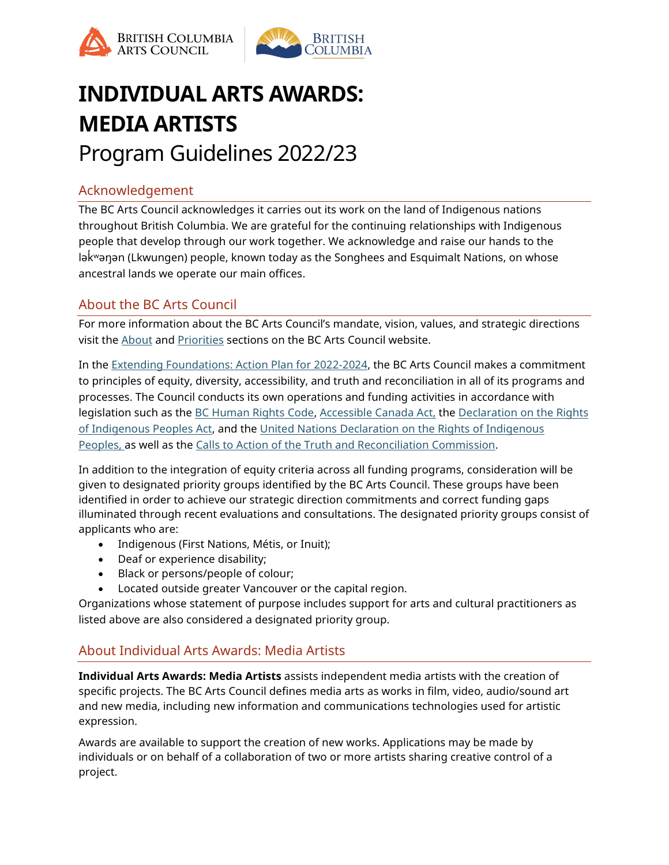



# **INDIVIDUAL ARTS AWARDS: MEDIA ARTISTS** Program Guidelines 2022/23

# Acknowledgement

The BC Arts Council acknowledges it carries out its work on the land of Indigenous nations throughout British Columbia. We are grateful for the continuing relationships with Indigenous people that develop through our work together. We acknowledge and raise our hands to the lək ̓ ʷəŋən (Lkwungen) people, known today as the Songhees and Esquimalt Nations, on whose ancestral lands we operate our main offices.

# About the BC Arts Council

For more information about the BC Arts Council's mandate, vision, values, and strategic directions visit the [About](https://www.bcartscouncil.ca/about/) and [Priorities](https://www.bcartscouncil.ca/priorities/) sections on the BC Arts Council website.

In the [Extending Foundations: Action Plan for 2022-2024,](https://www.bcartscouncil.ca/app/uploads/sites/508/2019/06/2018_22_StratPlan.pdf) the BC Arts Council makes a commitment to principles of equity, diversity, accessibility, and truth and reconciliation in all of its programs and processes. The Council conducts its own operations and funding activities in accordance with legislation such as the [BC Human Rights Code,](https://www2.gov.bc.ca/assets/gov/law-crime-and-justice/human-rights/human-rights-protection/what-you-need-to-know.pdf) [Accessible Canada Act,](https://laws-lois.justice.gc.ca/eng/acts/A-0.6/) the Declaration on the Rights [of Indigenous Peoples Act,](https://www.bclaws.gov.bc.ca/civix/document/id/complete/statreg/19044) and the [United Nations Declaration on the Rights of Indigenous](http://www.un.org/esa/socdev/unpfii/documents/DRIPS_en.pdf)  [Peoples,](http://www.un.org/esa/socdev/unpfii/documents/DRIPS_en.pdf) as well as the [Calls to Action of the Truth and Reconciliation Commission.](https://www2.gov.bc.ca/assets/gov/british-columbians-our-governments/indigenous-people/aboriginal-peoples-documents/calls_to_action_english2.pdf)

In addition to the integration of equity criteria across all funding programs, consideration will be given to designated priority groups identified by the BC Arts Council. These groups have been identified in order to achieve our strategic direction commitments and correct funding gaps illuminated through recent evaluations and consultations. The designated priority groups consist of applicants who are:

- Indigenous (First Nations, Métis, or Inuit);
- Deaf or experience disability;
- Black or persons/people of colour;
- Located outside greater Vancouver or the capital region.

Organizations whose statement of purpose includes support for arts and cultural practitioners as listed above are also considered a designated priority group.

# About Individual Arts Awards: Media Artists

**Individual Arts Awards: Media Artists** assists independent media artists with the creation of specific projects. The BC Arts Council defines media arts as works in film, video, audio/sound art and new media, including new information and communications technologies used for artistic expression.

Awards are available to support the creation of new works. Applications may be made by individuals or on behalf of a collaboration of two or more artists sharing creative control of a project.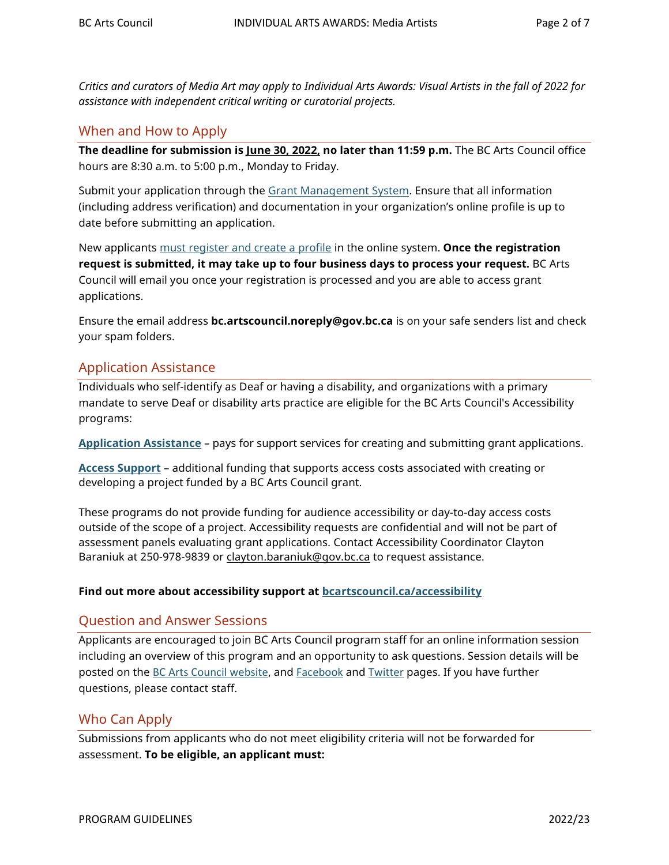*Critics and curators of Media Art may apply to Individual Arts Awards: Visual Artists in the fall of 2022 for assistance with independent critical writing or curatorial projects.*

## When and How to Apply

**The deadline for submission is June 30, 2022, no later than 11:59 p.m.** The BC Arts Council office hours are 8:30 a.m. to 5:00 p.m., Monday to Friday.

Submit your application through the **Grant Management System. Ensure that all information** (including address verification) and documentation in your organization's online profile is up to date before submitting an application.

New applicants [must register and create a profile](https://www.bcartscouncil.ca/how-to-apply-online/) in the online system. **Once the registration request is submitted, it may take up to four business days to process your request.** BC Arts Council will email you once your registration is processed and you are able to access grant applications.

Ensure the email address **bc.artscouncil.noreply@gov.bc.ca** is on your safe senders list and check your spam folders.

# Application Assistance

Individuals who self-identify as Deaf or having a disability, and organizations with a primary mandate to serve Deaf or disability arts practice are eligible for the BC Arts Council's Accessibility programs:

**[Application Assistance](https://www.bcartscouncil.ca/program/application-assistance/)** – pays for support services for creating and submitting grant applications.

**[Access Support](https://www.bcartscouncil.ca/program/access-support)** – additional funding that supports access costs associated with creating or developing a project funded by a BC Arts Council grant.

These programs do not provide funding for audience accessibility or day-to-day access costs outside of the scope of a project. Accessibility requests are confidential and will not be part of assessment panels evaluating grant applications. Contact Accessibility Coordinator Clayton Baraniuk at 250-978-9839 or [clayton.baraniuk@gov.bc.ca](mailto:clayton.baraniuk@gov.bc.ca) to request assistance.

#### **Find out more about accessibility support at [bcartscouncil.ca/accessibility](http://www.bcartscouncil.ca/accessibility)**

## Question and Answer Sessions

Applicants are encouraged to join BC Arts Council program staff for an online information session including an overview of this program and an opportunity to ask questions. Session details will be posted on the [BC Arts Council website](https://www.bcartscouncil.ca/news/), and [Facebook](https://www.facebook.com/BritishColumbiaArtsCouncil) and [Twitter](https://twitter.com/BCArtsCouncil) pages. If you have further questions, please contact staff.

## Who Can Apply

Submissions from applicants who do not meet eligibility criteria will not be forwarded for assessment. **To be eligible, an applicant must:**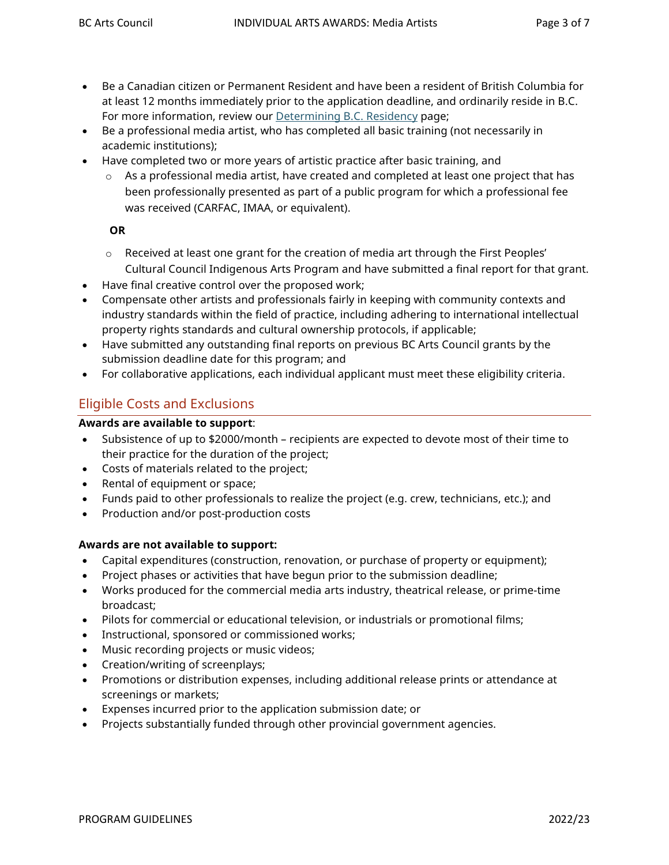- Be a Canadian citizen or Permanent Resident and have been a resident of British Columbia for at least 12 months immediately prior to the application deadline, and ordinarily reside in B.C. For more information, review our [Determining B.C. Residency](https://www.bcartscouncil.ca/determining-b-c-residency/) page;
- Be a professional media artist, who has completed all basic training (not necessarily in academic institutions);
- Have completed two or more years of artistic practice after basic training, and
	- $\circ$  As a professional media artist, have created and completed at least one project that has been professionally presented as part of a public program for which a professional fee was received (CARFAC, IMAA, or equivalent).

#### **OR**

- $\circ$  Received at least one grant for the creation of media art through the First Peoples' Cultural Council Indigenous Arts Program and have submitted a final report for that grant.
- Have final creative control over the proposed work;
- Compensate other artists and professionals fairly in keeping with community contexts and industry standards within the field of practice, including adhering to international intellectual property rights standards and cultural ownership protocols, if applicable;
- Have submitted any outstanding final reports on previous BC Arts Council grants by the submission deadline date for this program; and
- For collaborative applications, each individual applicant must meet these eligibility criteria.

# Eligible Costs and Exclusions

#### **Awards are available to support**:

- Subsistence of up to \$2000/month recipients are expected to devote most of their time to their practice for the duration of the project;
- Costs of materials related to the project;
- Rental of equipment or space;
- Funds paid to other professionals to realize the project (e.g. crew, technicians, etc.); and
- Production and/or post-production costs

#### **Awards are not available to support:**

- Capital expenditures (construction, renovation, or purchase of property or equipment);
- Project phases or activities that have begun prior to the submission deadline;
- Works produced for the commercial media arts industry, theatrical release, or prime-time broadcast;
- Pilots for commercial or educational television, or industrials or promotional films;
- Instructional, sponsored or commissioned works;
- Music recording projects or music videos;
- Creation/writing of screenplays;
- Promotions or distribution expenses, including additional release prints or attendance at screenings or markets;
- Expenses incurred prior to the application submission date; or
- Projects substantially funded through other provincial government agencies.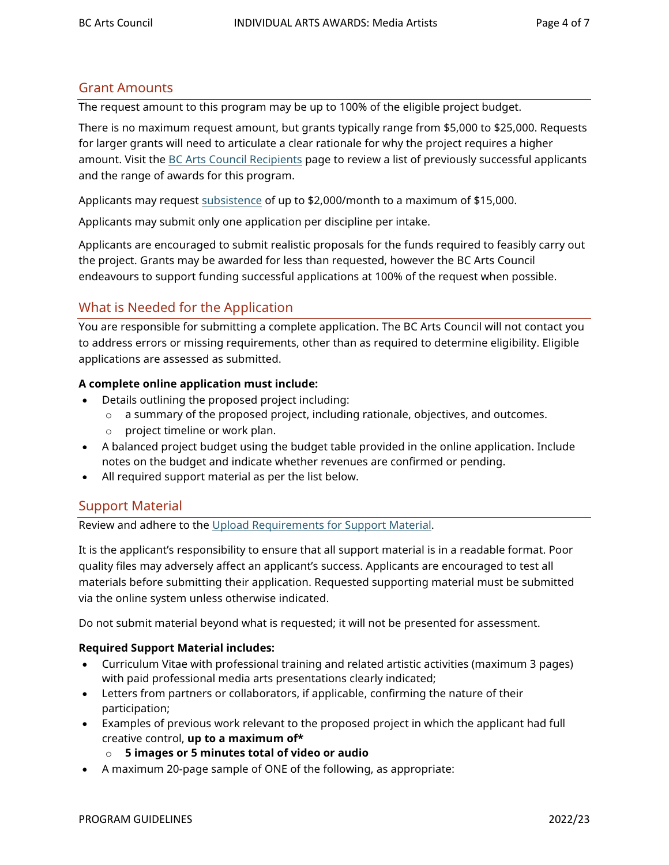## Grant Amounts

The request amount to this program may be up to 100% of the eligible project budget.

There is no maximum request amount, but grants typically range from \$5,000 to \$25,000. Requests for larger grants will need to articulate a clear rationale for why the project requires a higher amount. Visit the [BC Arts Council Recipients](https://www.bcartscouncil.ca/funding/recipients/) page to review a list of previously successful applicants and the range of awards for this program.

Applicants may request [subsistence](https://www.bcartscouncil.ca/what-are-subsistence-costs/#:%7E:text=You%20may%20request%20up%20to,request%20for%20the%20projected%20amount.) of up to \$2,000/month to a maximum of \$15,000.

Applicants may submit only one application per discipline per intake.

Applicants are encouraged to submit realistic proposals for the funds required to feasibly carry out the project. Grants may be awarded for less than requested, however the BC Arts Council endeavours to support funding successful applications at 100% of the request when possible.

# What is Needed for the Application

You are responsible for submitting a complete application. The BC Arts Council will not contact you to address errors or missing requirements, other than as required to determine eligibility. Eligible applications are assessed as submitted.

#### **A complete online application must include:**

- Details outlining the proposed project including:
	- $\circ$  a summary of the proposed project, including rationale, objectives, and outcomes.
	- o project timeline or work plan.
- A balanced project budget using the budget table provided in the online application. Include notes on the budget and indicate whether revenues are confirmed or pending.
- All required support material as per the list below.

#### Support Material

Review and adhere to the [Upload Requirements for Support Material.](https://www.bcartscouncil.ca/app/uploads/sites/508/2022/04/upload-requirements-for-supporting-material.pdf)

It is the applicant's responsibility to ensure that all support material is in a readable format. Poor quality files may adversely affect an applicant's success. Applicants are encouraged to test all materials before submitting their application. Requested supporting material must be submitted via the online system unless otherwise indicated.

Do not submit material beyond what is requested; it will not be presented for assessment.

#### **Required Support Material includes:**

- Curriculum Vitae with professional training and related artistic activities (maximum 3 pages) with paid professional media arts presentations clearly indicated;
- Letters from partners or collaborators, if applicable, confirming the nature of their participation;
- Examples of previous work relevant to the proposed project in which the applicant had full creative control, **up to a maximum of\*** 
	- o **5 images or 5 minutes total of video or audio**
- A maximum 20-page sample of ONE of the following, as appropriate: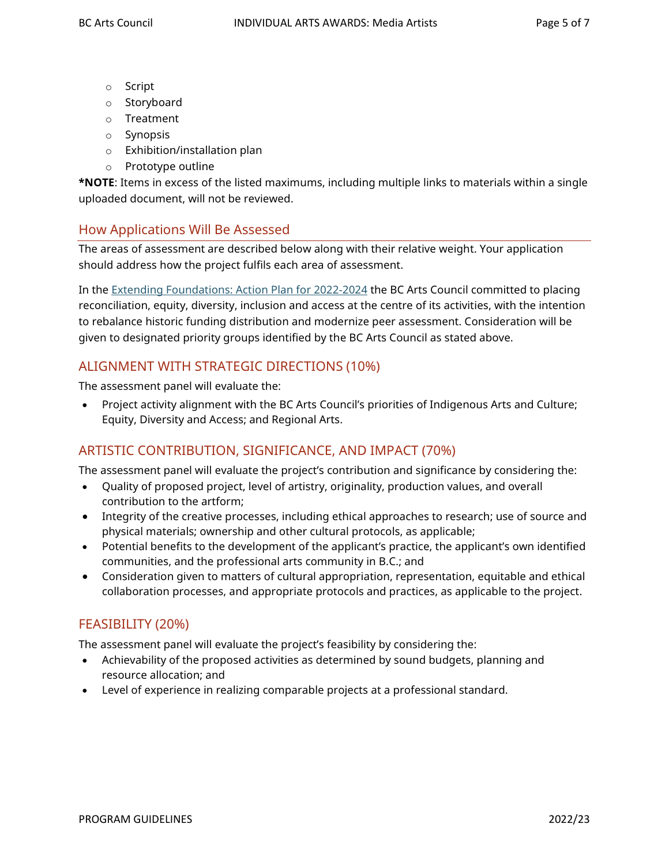- o Script
- o Storyboard
- o Treatment
- o Synopsis
- o Exhibition/installation plan
- o Prototype outline

**\*NOTE**: Items in excess of the listed maximums, including multiple links to materials within a single uploaded document, will not be reviewed.

## How Applications Will Be Assessed

The areas of assessment are described below along with their relative weight. Your application should address how the project fulfils each area of assessment.

In the [Extending Foundations: Action Plan for 2022-2024](https://www.bcartscouncil.ca/priorities/) the BC Arts Council committed to placing reconciliation, equity, diversity, inclusion and access at the centre of its activities, with the intention to rebalance historic funding distribution and modernize peer assessment. Consideration will be given to designated priority groups identified by the BC Arts Council as stated above.

# ALIGNMENT WITH STRATEGIC DIRECTIONS (10%)

The assessment panel will evaluate the:

• Project activity alignment with the BC Arts Council's priorities of Indigenous Arts and Culture; Equity, Diversity and Access; and Regional Arts.

# ARTISTIC CONTRIBUTION, SIGNIFICANCE, AND IMPACT (70%)

The assessment panel will evaluate the project's contribution and significance by considering the:

- Quality of proposed project, level of artistry, originality, production values, and overall contribution to the artform;
- Integrity of the creative processes, including ethical approaches to research; use of source and physical materials; ownership and other cultural protocols, as applicable;
- Potential benefits to the development of the applicant's practice, the applicant's own identified communities, and the professional arts community in B.C.; and
- Consideration given to matters of cultural appropriation, representation, equitable and ethical collaboration processes, and appropriate protocols and practices, as applicable to the project.

# FEASIBILITY (20%)

The assessment panel will evaluate the project's feasibility by considering the:

- Achievability of the proposed activities as determined by sound budgets, planning and resource allocation; and
- Level of experience in realizing comparable projects at a professional standard.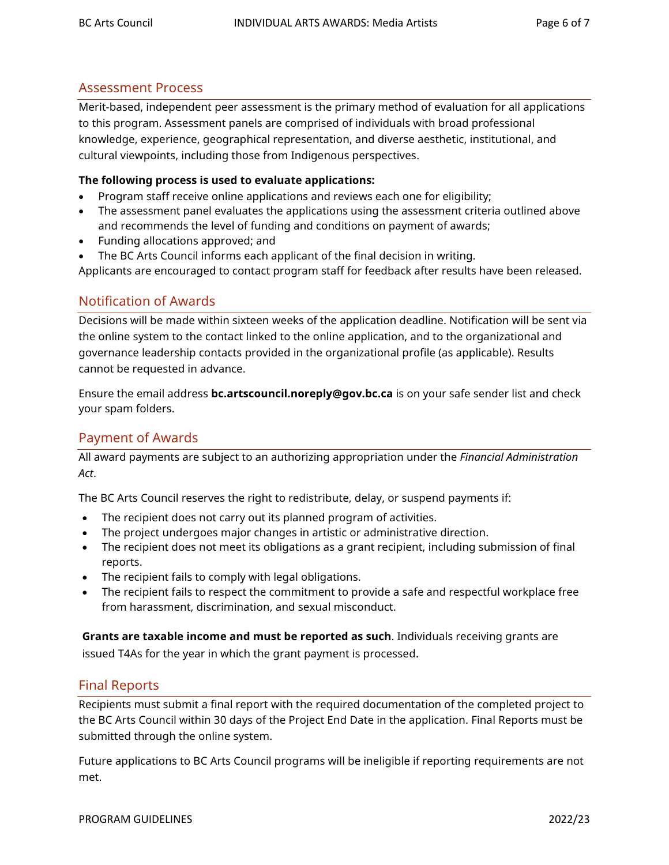## Assessment Process

Merit-based, independent peer assessment is the primary method of evaluation for all applications to this program. Assessment panels are comprised of individuals with broad professional knowledge, experience, geographical representation, and diverse aesthetic, institutional, and cultural viewpoints, including those from Indigenous perspectives.

#### **The following process is used to evaluate applications:**

- Program staff receive online applications and reviews each one for eligibility;
- The assessment panel evaluates the applications using the assessment criteria outlined above and recommends the level of funding and conditions on payment of awards;
- Funding allocations approved; and
- The BC Arts Council informs each applicant of the final decision in writing.

Applicants are encouraged to contact program staff for feedback after results have been released.

## Notification of Awards

Decisions will be made within sixteen weeks of the application deadline. Notification will be sent via the online system to the contact linked to the online application, and to the organizational and governance leadership contacts provided in the organizational profile (as applicable). Results cannot be requested in advance.

Ensure the email address **bc.artscouncil.noreply@gov.bc.ca** is on your safe sender list and check your spam folders.

## Payment of Awards

All award payments are subject to an authorizing appropriation under the *Financial Administration Act*.

The BC Arts Council reserves the right to redistribute, delay, or suspend payments if:

- The recipient does not carry out its planned program of activities.
- The project undergoes major changes in artistic or administrative direction.
- The recipient does not meet its obligations as a grant recipient, including submission of final reports.
- The recipient fails to comply with legal obligations.
- The recipient fails to respect the commitment to provide a safe and respectful workplace free from harassment, discrimination, and sexual misconduct.

**Grants are taxable income and must be reported as such**. Individuals receiving grants are issued T4As for the year in which the grant payment is processed.

## Final Reports

Recipients must submit a final report with the required documentation of the completed project to the BC Arts Council within 30 days of the Project End Date in the application. Final Reports must be submitted through the online system.

Future applications to BC Arts Council programs will be ineligible if reporting requirements are not met.